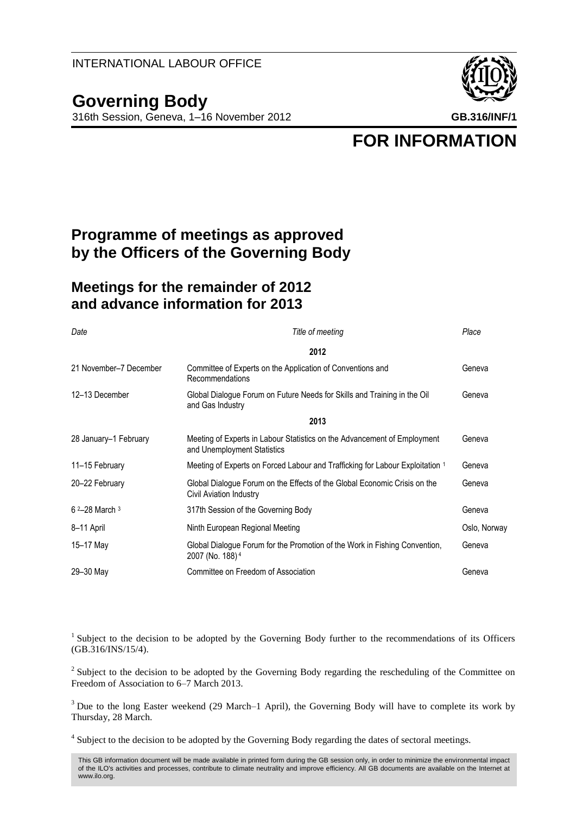## **Governing Body**

316th Session, Geneva, 1–16 November 2012 **GB.316/INF/1**



**FOR INFORMATION**

## **Programme of meetings as approved by the Officers of the Governing Body**

## **Meetings for the remainder of 2012 and advance information for 2013**

| Date                       | Title of meeting                                                                                            | Place        |
|----------------------------|-------------------------------------------------------------------------------------------------------------|--------------|
|                            | 2012                                                                                                        |              |
| 21 November-7 December     | Committee of Experts on the Application of Conventions and<br>Recommendations                               | Geneva       |
| 12-13 December             | Global Dialogue Forum on Future Needs for Skills and Training in the Oil<br>and Gas Industry                | Geneva       |
|                            | 2013                                                                                                        |              |
| 28 January-1 February      | Meeting of Experts in Labour Statistics on the Advancement of Employment<br>and Unemployment Statistics     | Geneva       |
| 11-15 February             | Meeting of Experts on Forced Labour and Trafficking for Labour Exploitation 1                               | Geneva       |
| 20-22 February             | Global Dialogue Forum on the Effects of the Global Economic Crisis on the<br><b>Civil Aviation Industry</b> | Geneva       |
| $6^{2} - 28$ March $3^{3}$ | 317th Session of the Governing Body                                                                         | Geneva       |
| 8-11 April                 | Ninth European Regional Meeting                                                                             | Oslo, Norway |
| 15-17 May                  | Global Dialogue Forum for the Promotion of the Work in Fishing Convention,<br>2007 (No. 188) <sup>4</sup>   | Geneva       |
| 29-30 May                  | Committee on Freedom of Association                                                                         | Geneva       |

<sup>1</sup> Subject to the decision to be adopted by the Governing Body further to the recommendations of its Officers (GB.316/INS/15/4).

 $2^2$  Subject to the decision to be adopted by the Governing Body regarding the rescheduling of the Committee on Freedom of Association to 6–7 March 2013.

<sup>3</sup> Due to the long Easter weekend (29 March–1 April), the Governing Body will have to complete its work by Thursday, 28 March.

<sup>4</sup> Subject to the decision to be adopted by the Governing Body regarding the dates of sectoral meetings.

This GB information document will be made available in printed form during the GB session only, in order to minimize the environmental impact of the ILO's activities and processes, contribute to climate neutrality and improve efficiency. All GB documents are available on the Internet at www.ilo.org.